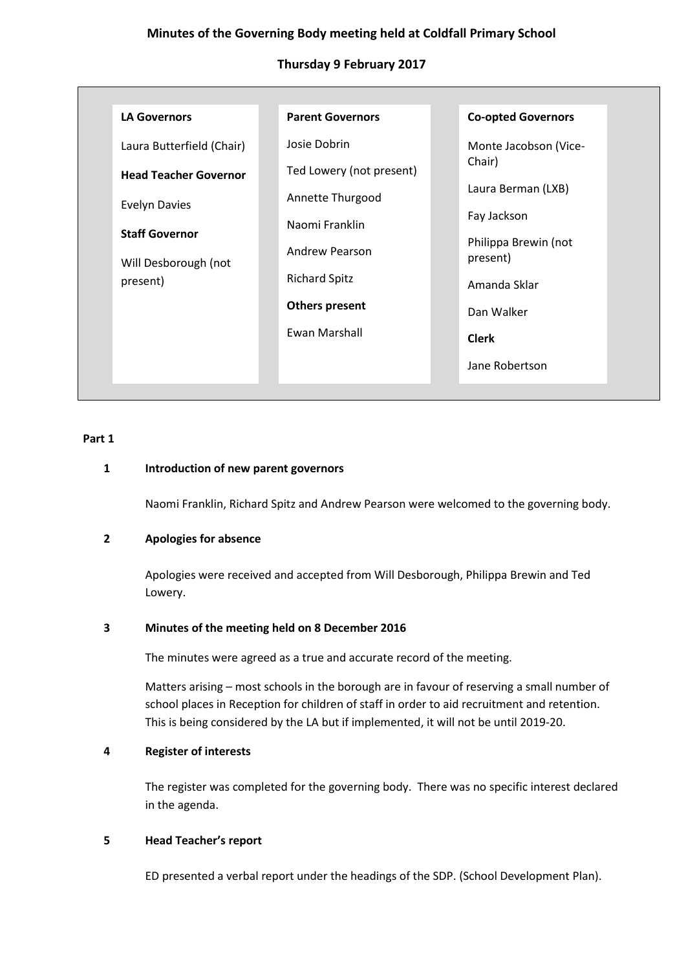# **Minutes of the Governing Body meeting held at Coldfall Primary School**

# **Thursday 9 February 2017**

| <b>LA Governors</b>          | <b>Parent Governors</b>  | <b>Co-opted Governors</b>        |
|------------------------------|--------------------------|----------------------------------|
| Laura Butterfield (Chair)    | Josie Dobrin             | Monte Jacobson (Vice-            |
| <b>Head Teacher Governor</b> | Ted Lowery (not present) | Chair)                           |
| <b>Evelyn Davies</b>         | Annette Thurgood         | Laura Berman (LXB)               |
| <b>Staff Governor</b>        | Naomi Franklin           | Fay Jackson                      |
| Will Desborough (not         | Andrew Pearson           | Philippa Brewin (not<br>present) |
| present)                     | <b>Richard Spitz</b>     | Amanda Sklar                     |
|                              | <b>Others present</b>    | Dan Walker                       |
|                              | Ewan Marshall            | <b>Clerk</b>                     |
|                              |                          | Jane Robertson                   |

### **Part 1**

## **1 Introduction of new parent governors**

Naomi Franklin, Richard Spitz and Andrew Pearson were welcomed to the governing body.

## **2 Apologies for absence**

Apologies were received and accepted from Will Desborough, Philippa Brewin and Ted Lowery.

## **3 Minutes of the meeting held on 8 December 2016**

The minutes were agreed as a true and accurate record of the meeting.

Matters arising – most schools in the borough are in favour of reserving a small number of school places in Reception for children of staff in order to aid recruitment and retention. This is being considered by the LA but if implemented, it will not be until 2019-20.

## **4 Register of interests**

The register was completed for the governing body. There was no specific interest declared in the agenda.

# **5 Head Teacher's report**

ED presented a verbal report under the headings of the SDP. (School Development Plan).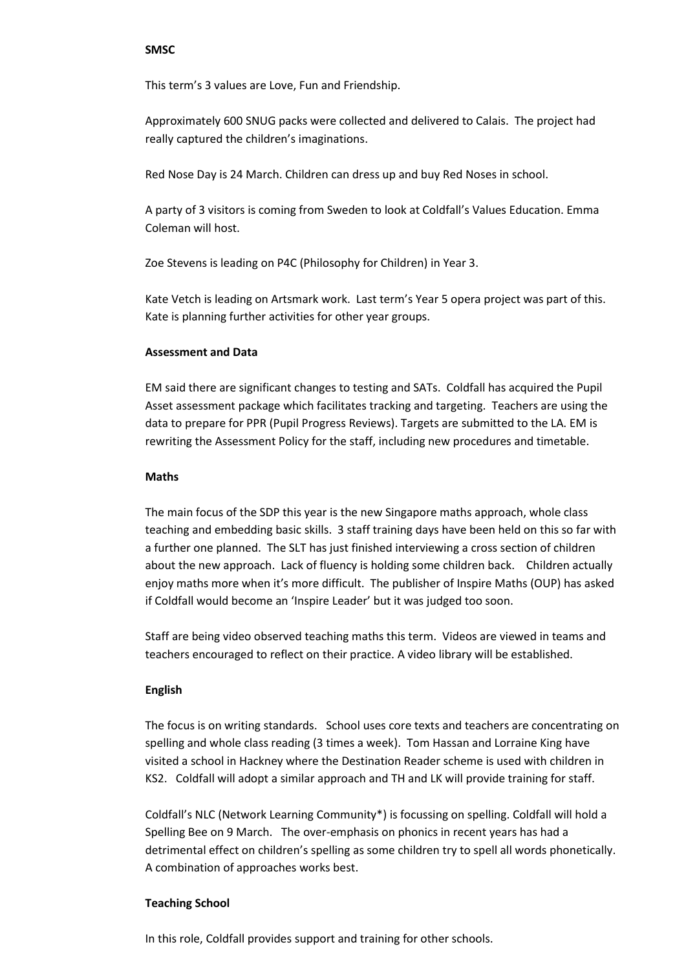#### **SMSC**

This term's 3 values are Love, Fun and Friendship.

Approximately 600 SNUG packs were collected and delivered to Calais. The project had really captured the children's imaginations.

Red Nose Day is 24 March. Children can dress up and buy Red Noses in school.

A party of 3 visitors is coming from Sweden to look at Coldfall's Values Education. Emma Coleman will host.

Zoe Stevens is leading on P4C (Philosophy for Children) in Year 3.

Kate Vetch is leading on Artsmark work. Last term's Year 5 opera project was part of this. Kate is planning further activities for other year groups.

### **Assessment and Data**

EM said there are significant changes to testing and SATs. Coldfall has acquired the Pupil Asset assessment package which facilitates tracking and targeting. Teachers are using the data to prepare for PPR (Pupil Progress Reviews). Targets are submitted to the LA. EM is rewriting the Assessment Policy for the staff, including new procedures and timetable.

### **Maths**

The main focus of the SDP this year is the new Singapore maths approach, whole class teaching and embedding basic skills. 3 staff training days have been held on this so far with a further one planned. The SLT has just finished interviewing a cross section of children about the new approach. Lack of fluency is holding some children back. Children actually enjoy maths more when it's more difficult. The publisher of Inspire Maths (OUP) has asked if Coldfall would become an 'Inspire Leader' but it was judged too soon.

Staff are being video observed teaching maths this term. Videos are viewed in teams and teachers encouraged to reflect on their practice. A video library will be established.

#### **English**

The focus is on writing standards. School uses core texts and teachers are concentrating on spelling and whole class reading (3 times a week). Tom Hassan and Lorraine King have visited a school in Hackney where the Destination Reader scheme is used with children in KS2. Coldfall will adopt a similar approach and TH and LK will provide training for staff.

Coldfall's NLC (Network Learning Community\*) is focussing on spelling. Coldfall will hold a Spelling Bee on 9 March. The over-emphasis on phonics in recent years has had a detrimental effect on children's spelling as some children try to spell all words phonetically. A combination of approaches works best.

#### **Teaching School**

In this role, Coldfall provides support and training for other schools.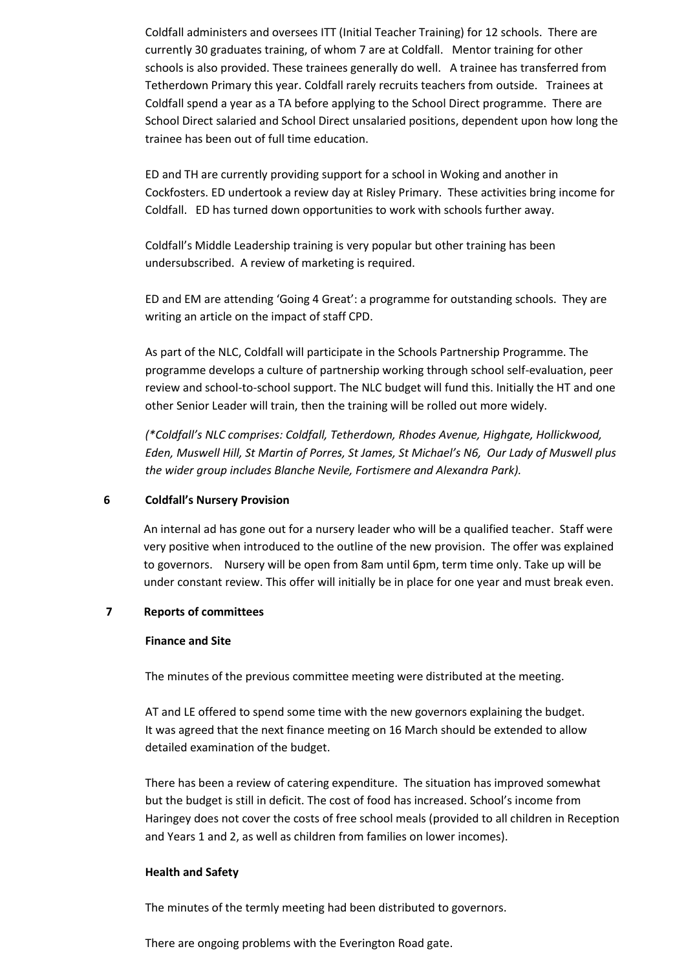Coldfall administers and oversees ITT (Initial Teacher Training) for 12 schools. There are currently 30 graduates training, of whom 7 are at Coldfall. Mentor training for other schools is also provided. These trainees generally do well. A trainee has transferred from Tetherdown Primary this year. Coldfall rarely recruits teachers from outside. Trainees at Coldfall spend a year as a TA before applying to the School Direct programme. There are School Direct salaried and School Direct unsalaried positions, dependent upon how long the trainee has been out of full time education.

ED and TH are currently providing support for a school in Woking and another in Cockfosters. ED undertook a review day at Risley Primary. These activities bring income for Coldfall. ED has turned down opportunities to work with schools further away.

Coldfall's Middle Leadership training is very popular but other training has been undersubscribed. A review of marketing is required.

ED and EM are attending 'Going 4 Great': a programme for outstanding schools. They are writing an article on the impact of staff CPD.

As part of the NLC, Coldfall will participate in the Schools Partnership Programme. The programme develops a culture of partnership working through school self-evaluation, peer review and school-to-school support. The NLC budget will fund this. Initially the HT and one other Senior Leader will train, then the training will be rolled out more widely.

*(\*Coldfall's NLC comprises: Coldfall, Tetherdown, Rhodes Avenue, Highgate, Hollickwood, Eden, Muswell Hill, St Martin of Porres, St James, St Michael's N6, Our Lady of Muswell plus the wider group includes Blanche Nevile, Fortismere and Alexandra Park).* 

## **6 Coldfall's Nursery Provision**

An internal ad has gone out for a nursery leader who will be a qualified teacher. Staff were very positive when introduced to the outline of the new provision. The offer was explained to governors. Nursery will be open from 8am until 6pm, term time only. Take up will be under constant review. This offer will initially be in place for one year and must break even.

## **7 Reports of committees**

#### **Finance and Site**

The minutes of the previous committee meeting were distributed at the meeting.

AT and LE offered to spend some time with the new governors explaining the budget. It was agreed that the next finance meeting on 16 March should be extended to allow detailed examination of the budget.

There has been a review of catering expenditure. The situation has improved somewhat but the budget is still in deficit. The cost of food has increased. School's income from Haringey does not cover the costs of free school meals (provided to all children in Reception and Years 1 and 2, as well as children from families on lower incomes).

#### **Health and Safety**

The minutes of the termly meeting had been distributed to governors.

There are ongoing problems with the Everington Road gate.